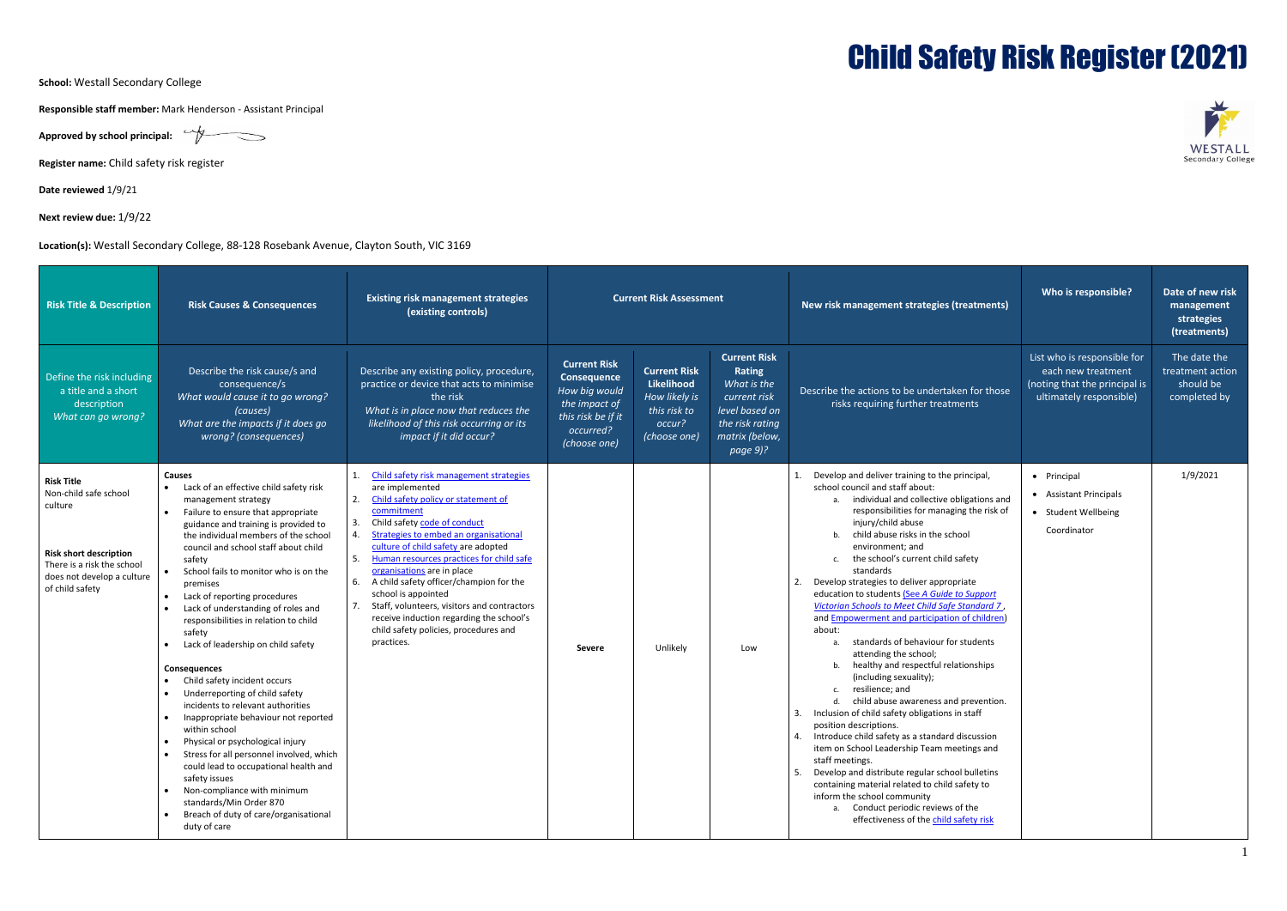**School:** Westall Secondary College

**Responsible staff member:** Mark Henderson - Assistant Principal

Approved by school principal: **Approved by school principal:** 

**Register name:** Child safety risk register

**Date reviewed** 1/9/21

**Next review due:** 1/9/22

**Location(s):** Westall Secondary College, 88-128 Rosebank Avenue, Clayton South, VIC 3169

| <b>Risk Title &amp; Description</b>                                                                                                                                   | <b>Risk Causes &amp; Consequences</b>                                                                                                                                                                                                                                                                                                                                                                                                                                                                                                                                                                                                                                                                                                                                                                                                                                                                                          | <b>Existing risk management strategies</b><br>(existing controls)                                                                                                                                                                                                                                                                                                                                                                                                                                                                                     | <b>Current Risk Assessment</b>                                                                                          |                                                                                              |                                                                                                                                 | New risk management strategies (treatments)                                                                                                                                                                                                                                                                                                                                                                                                                                                                                                                                                                                                                                                                                                                                                                                                                                                                                                                                                                                                                                                                                                          | Who is responsible?                                                                                           | Date of new risk<br>management<br>strategies<br>(treatments)  |
|-----------------------------------------------------------------------------------------------------------------------------------------------------------------------|--------------------------------------------------------------------------------------------------------------------------------------------------------------------------------------------------------------------------------------------------------------------------------------------------------------------------------------------------------------------------------------------------------------------------------------------------------------------------------------------------------------------------------------------------------------------------------------------------------------------------------------------------------------------------------------------------------------------------------------------------------------------------------------------------------------------------------------------------------------------------------------------------------------------------------|-------------------------------------------------------------------------------------------------------------------------------------------------------------------------------------------------------------------------------------------------------------------------------------------------------------------------------------------------------------------------------------------------------------------------------------------------------------------------------------------------------------------------------------------------------|-------------------------------------------------------------------------------------------------------------------------|----------------------------------------------------------------------------------------------|---------------------------------------------------------------------------------------------------------------------------------|------------------------------------------------------------------------------------------------------------------------------------------------------------------------------------------------------------------------------------------------------------------------------------------------------------------------------------------------------------------------------------------------------------------------------------------------------------------------------------------------------------------------------------------------------------------------------------------------------------------------------------------------------------------------------------------------------------------------------------------------------------------------------------------------------------------------------------------------------------------------------------------------------------------------------------------------------------------------------------------------------------------------------------------------------------------------------------------------------------------------------------------------------|---------------------------------------------------------------------------------------------------------------|---------------------------------------------------------------|
| Define the risk including<br>a title and a short<br>description<br>What can go wrong?                                                                                 | Describe the risk cause/s and<br>consequence/s<br>What would cause it to go wrong?<br>(causes)<br>What are the impacts if it does go<br>wrong? (consequences)                                                                                                                                                                                                                                                                                                                                                                                                                                                                                                                                                                                                                                                                                                                                                                  | Describe any existing policy, procedure,<br>practice or device that acts to minimise<br>the risk<br>What is in place now that reduces the<br>likelihood of this risk occurring or its<br>impact if it did occur?                                                                                                                                                                                                                                                                                                                                      | <b>Current Risk</b><br>Consequence<br>How big would<br>the impact of<br>this risk be if it<br>occurred?<br>(choose one) | <b>Current Risk</b><br>Likelihood<br>How likely is<br>this risk to<br>occur?<br>(choose one) | <b>Current Risk</b><br>Rating<br>What is the<br>current risk<br>level based on<br>the risk rating<br>matrix (below,<br>page 9)? | Describe the actions to be undertaken for those<br>risks requiring further treatments                                                                                                                                                                                                                                                                                                                                                                                                                                                                                                                                                                                                                                                                                                                                                                                                                                                                                                                                                                                                                                                                | List who is responsible for<br>each new treatment<br>(noting that the principal is<br>ultimately responsible) | The date the<br>treatment action<br>should be<br>completed by |
| <b>Risk Title</b><br>Non-child safe school<br>culture<br><b>Risk short description</b><br>There is a risk the school<br>does not develop a culture<br>of child safety | <b>Causes</b><br>Lack of an effective child safety risk<br>management strategy<br>Failure to ensure that appropriate<br>guidance and training is provided to<br>the individual members of the school<br>council and school staff about child<br>safety<br>School fails to monitor who is on the<br>premises<br>Lack of reporting procedures<br>Lack of understanding of roles and<br>responsibilities in relation to child<br>safety<br>Lack of leadership on child safety<br><b>Consequences</b><br>Child safety incident occurs<br>Underreporting of child safety<br>incidents to relevant authorities<br>Inappropriate behaviour not reported<br>within school<br>Physical or psychological injury<br>Stress for all personnel involved, which<br>could lead to occupational health and<br>safety issues<br>Non-compliance with minimum<br>standards/Min Order 870<br>Breach of duty of care/organisational<br>duty of care | Child safety risk management strategies<br>1.<br>are implemented<br>2.<br>Child safety policy or statement of<br>commitment<br>Child safety code of conduct<br>Strategies to embed an organisational<br>culture of child safety are adopted<br>Human resources practices for child safe<br>5.<br>organisations are in place<br>A child safety officer/champion for the<br>6.<br>school is appointed<br>Staff, volunteers, visitors and contractors<br>receive induction regarding the school's<br>child safety policies, procedures and<br>practices. | Severe                                                                                                                  | Unlikely                                                                                     | Low                                                                                                                             | Develop and deliver training to the principal,<br>school council and staff about:<br>individual and collective obligations and<br>responsibilities for managing the risk of<br>injury/child abuse<br>child abuse risks in the school<br>environment; and<br>the school's current child safety<br>standards<br>Develop strategies to deliver appropriate<br>education to students (See A Guide to Support<br>Victorian Schools to Meet Child Safe Standard 7,<br>and <b>Empowerment and participation of children</b><br>about:<br>standards of behaviour for students<br>attending the school;<br>healthy and respectful relationships<br>(including sexuality);<br>resilience; and<br>child abuse awareness and prevention.<br>Inclusion of child safety obligations in staff<br>position descriptions.<br>Introduce child safety as a standard discussion<br>item on School Leadership Team meetings and<br>staff meetings.<br>5. Develop and distribute regular school bulletins<br>containing material related to child safety to<br>inform the school community<br>a. Conduct periodic reviews of the<br>effectiveness of the child safety risk | • Principal<br>• Assistant Principals<br>• Student Wellbeing<br>Coordinator                                   | 1/9/2021                                                      |

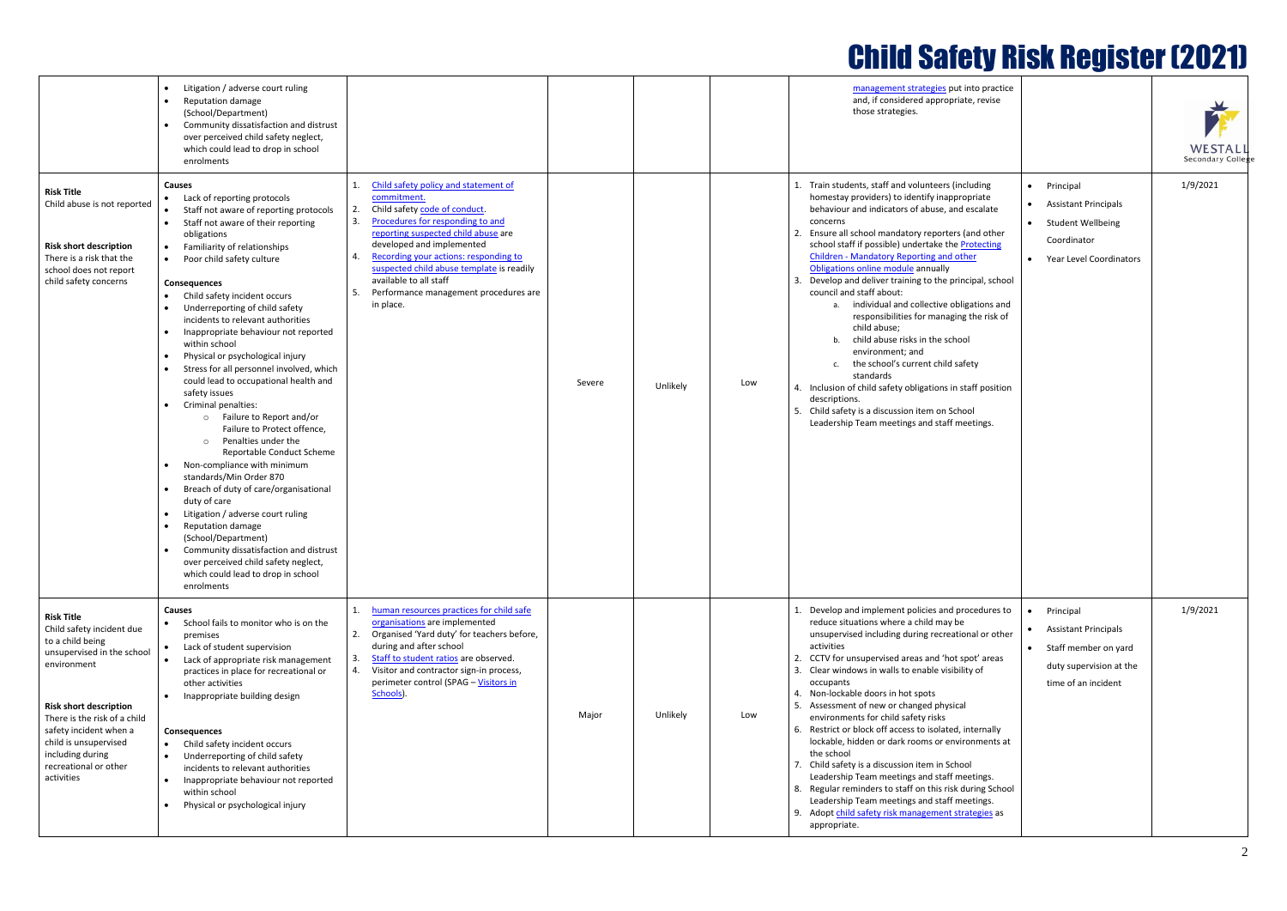

|                                                                                                                                                                                                                                                                                                | Litigation / adverse court ruling<br><b>Reputation damage</b><br>(School/Department)<br>Community dissatisfaction and distrust<br>over perceived child safety neglect,<br>which could lead to drop in school<br>enrolments                                                                                                                                                                                                                                                                                                                                                                                                                                                                                                                                                                                                                                                                                                                                                                                                                      |                                                                                                                                                                                                                                                                                                                                                                                       |        |          | management strategies put into practice<br>and, if considered appropriate, revise<br>those strategies.                                                                                                                                                                                                                                                                                                                                                                                                                                                                                                                                                                                                                                                                                                                                                                                                                                                                                                                      | WESTALI<br>Secondary Colleg |
|------------------------------------------------------------------------------------------------------------------------------------------------------------------------------------------------------------------------------------------------------------------------------------------------|-------------------------------------------------------------------------------------------------------------------------------------------------------------------------------------------------------------------------------------------------------------------------------------------------------------------------------------------------------------------------------------------------------------------------------------------------------------------------------------------------------------------------------------------------------------------------------------------------------------------------------------------------------------------------------------------------------------------------------------------------------------------------------------------------------------------------------------------------------------------------------------------------------------------------------------------------------------------------------------------------------------------------------------------------|---------------------------------------------------------------------------------------------------------------------------------------------------------------------------------------------------------------------------------------------------------------------------------------------------------------------------------------------------------------------------------------|--------|----------|-----------------------------------------------------------------------------------------------------------------------------------------------------------------------------------------------------------------------------------------------------------------------------------------------------------------------------------------------------------------------------------------------------------------------------------------------------------------------------------------------------------------------------------------------------------------------------------------------------------------------------------------------------------------------------------------------------------------------------------------------------------------------------------------------------------------------------------------------------------------------------------------------------------------------------------------------------------------------------------------------------------------------------|-----------------------------|
| <b>Risk Title</b><br>Child abuse is not reported<br><b>Risk short description</b><br>There is a risk that the<br>school does not report<br>child safety concerns                                                                                                                               | <b>Causes</b><br>Lack of reporting protocols<br>Staff not aware of reporting protocols<br>Staff not aware of their reporting<br>obligations<br>Familiarity of relationships<br>Poor child safety culture<br><b>Consequences</b><br>Child safety incident occurs<br>Underreporting of child safety<br>incidents to relevant authorities<br>Inappropriate behaviour not reported<br>within school<br>Physical or psychological injury<br>Stress for all personnel involved, which<br>could lead to occupational health and<br>safety issues<br>Criminal penalties:<br>Failure to Report and/or<br>$\circ$<br>Failure to Protect offence,<br>Penalties under the<br>$\circ$<br>Reportable Conduct Scheme<br>Non-compliance with minimum<br>standards/Min Order 870<br>Breach of duty of care/organisational<br>duty of care<br>Litigation / adverse court ruling<br>Reputation damage<br>(School/Department)<br>Community dissatisfaction and distrust<br>over perceived child safety neglect,<br>which could lead to drop in school<br>enrolments | Child safety policy and statement of<br>commitment.<br>Child safety code of conduct.<br>2.<br>3.<br>Procedures for responding to and<br>reporting suspected child abuse are<br>developed and implemented<br>Recording your actions: responding to<br>suspected child abuse template is readily<br>available to all staff<br>Performance management procedures are<br>.5.<br>in place. | Severe | Unlikely | 1. Train students, staff and volunteers (including<br>1/9/2021<br>• Principal<br>homestay providers) to identify inappropriate<br><b>Assistant Principals</b><br>$\bullet$<br>behaviour and indicators of abuse, and escalate<br>concerns<br>• Student Wellbeing<br>Ensure all school mandatory reporters (and other<br>Coordinator<br>school staff if possible) undertake the Protecting<br><b>Children - Mandatory Reporting and other</b><br>• Year Level Coordinators<br>Obligations online module annually<br>Develop and deliver training to the principal, school<br>council and staff about:<br>a. individual and collective obligations and<br>responsibilities for managing the risk of<br>child abuse;<br>child abuse risks in the school<br>b.<br>environment: and<br>c. the school's current child safety<br>standards<br>Low<br>4. Inclusion of child safety obligations in staff position<br>descriptions.<br>5. Child safety is a discussion item on School<br>Leadership Team meetings and staff meetings. |                             |
| <b>Risk Title</b><br>Child safety incident due<br>to a child being<br>unsupervised in the school<br>environment<br><b>Risk short description</b><br>There is the risk of a child<br>safety incident when a<br>child is unsupervised<br>including during<br>recreational or other<br>activities | <b>Causes</b><br>• School fails to monitor who is on the<br>premises<br>Lack of student supervision<br>Lack of appropriate risk management<br>practices in place for recreational or<br>other activities<br>Inappropriate building design<br><b>Consequences</b><br>Child safety incident occurs<br>Underreporting of child safety<br>incidents to relevant authorities<br>Inappropriate behaviour not reported<br>within school<br>Physical or psychological injury                                                                                                                                                                                                                                                                                                                                                                                                                                                                                                                                                                            | human resources practices for child safe<br>organisations are implemented<br>Organised 'Yard duty' for teachers before,<br>2.<br>during and after school<br>Staff to student ratios are observed.<br>4.<br>Visitor and contractor sign-in process,<br>perimeter control (SPAG - Visitors in<br>Schools).                                                                              | Major  | Unlikely | 1/9/2021<br>1. Develop and implement policies and procedures to<br>• Principal<br>reduce situations where a child may be<br><b>Assistant Principals</b><br>$\bullet$<br>unsupervised including during recreational or other<br>activities<br>Staff member on yard<br>$\bullet$<br>CCTV for unsupervised areas and 'hot spot' areas<br>2.<br>duty supervision at the<br>Clear windows in walls to enable visibility of<br>occupants<br>time of an incident<br>4. Non-lockable doors in hot spots<br>5. Assessment of new or changed physical<br>Low<br>environments for child safety risks<br>6. Restrict or block off access to isolated, internally<br>lockable, hidden or dark rooms or environments at<br>the school<br>7. Child safety is a discussion item in School<br>Leadership Team meetings and staff meetings.<br>8. Regular reminders to staff on this risk during School<br>Leadership Team meetings and staff meetings.<br>9. Adopt child safety risk management strategies as<br>appropriate.                |                             |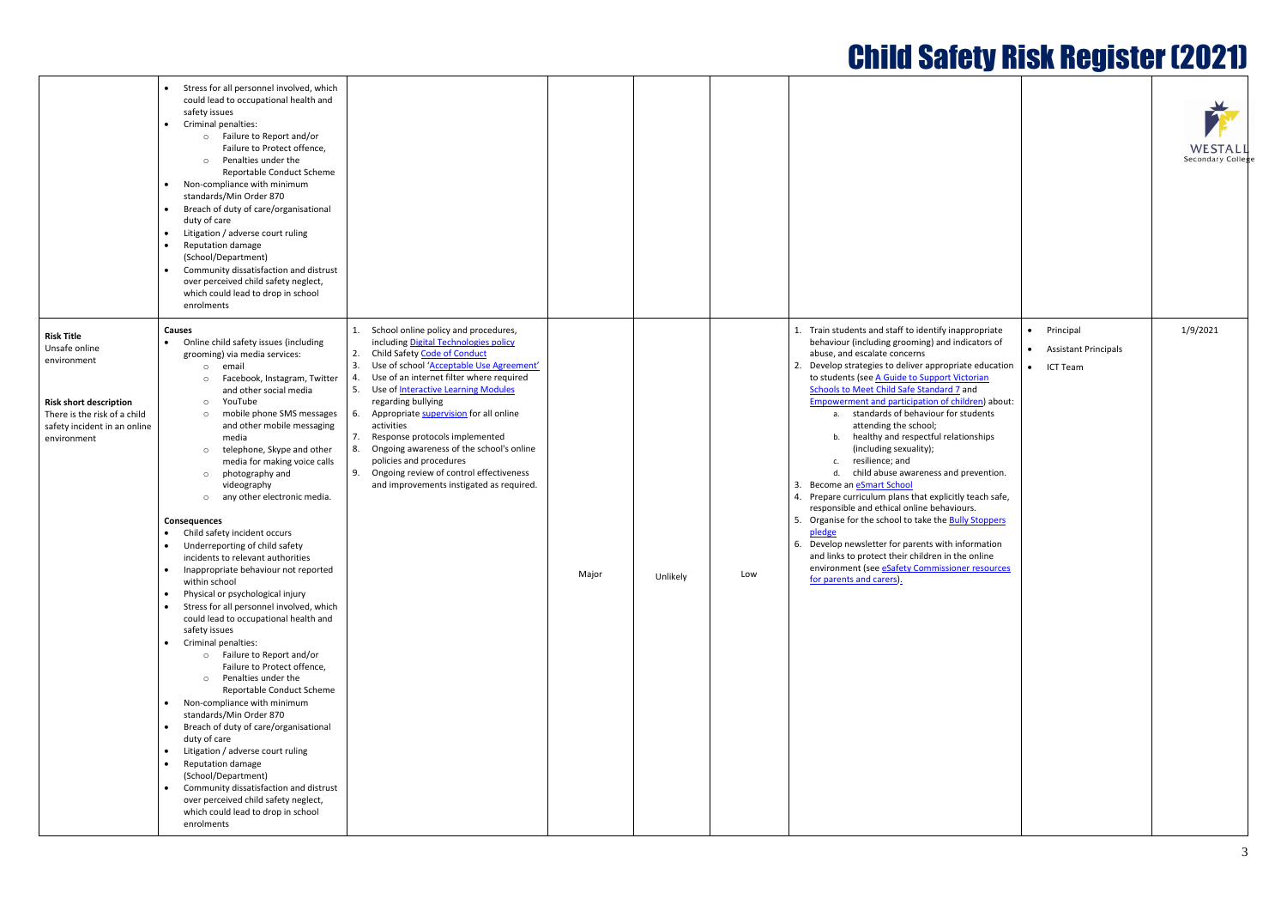| <b>Child Safety Risk Register (2021)</b> |  |
|------------------------------------------|--|
|                                          |  |

|                                                                                                                                                                   | Stress for all personnel involved, which<br>could lead to occupational health and<br>safety issues<br>Criminal penalties:<br>o Failure to Report and/or<br>Failure to Protect offence,<br>Penalties under the<br>$\circ$<br>Reportable Conduct Scheme<br>Non-compliance with minimum<br>standards/Min Order 870<br>Breach of duty of care/organisational<br>duty of care<br>Litigation / adverse court ruling<br>Reputation damage<br>(School/Department)<br>Community dissatisfaction and distrust<br>over perceived child safety neglect,<br>which could lead to drop in school<br>enrolments                                                                                                                                                                                                                                                                                                                                                                                                                                                                                                                                                                                                                                                                                     |                                                                                                                                                                                                                                                                                                                                                                                                                                                                                                                                                                                         |       |          |     |                                                                                                                                                                                                                                                                                                                                                                                                                                                                                                                                                                                                                                                                                                                                                                                                                                                                                                                                                                                                |
|-------------------------------------------------------------------------------------------------------------------------------------------------------------------|-------------------------------------------------------------------------------------------------------------------------------------------------------------------------------------------------------------------------------------------------------------------------------------------------------------------------------------------------------------------------------------------------------------------------------------------------------------------------------------------------------------------------------------------------------------------------------------------------------------------------------------------------------------------------------------------------------------------------------------------------------------------------------------------------------------------------------------------------------------------------------------------------------------------------------------------------------------------------------------------------------------------------------------------------------------------------------------------------------------------------------------------------------------------------------------------------------------------------------------------------------------------------------------|-----------------------------------------------------------------------------------------------------------------------------------------------------------------------------------------------------------------------------------------------------------------------------------------------------------------------------------------------------------------------------------------------------------------------------------------------------------------------------------------------------------------------------------------------------------------------------------------|-------|----------|-----|------------------------------------------------------------------------------------------------------------------------------------------------------------------------------------------------------------------------------------------------------------------------------------------------------------------------------------------------------------------------------------------------------------------------------------------------------------------------------------------------------------------------------------------------------------------------------------------------------------------------------------------------------------------------------------------------------------------------------------------------------------------------------------------------------------------------------------------------------------------------------------------------------------------------------------------------------------------------------------------------|
| <b>Risk Title</b><br>Unsafe online<br>environment<br><b>Risk short description</b><br>There is the risk of a child<br>safety incident in an online<br>environment | <b>Causes</b><br>Online child safety issues (including<br>grooming) via media services:<br>email<br>$\circ$<br>Facebook, Instagram, Twitter<br>$\circ$<br>and other social media<br>YouTube<br>$\circ$<br>mobile phone SMS messages<br>$\circ$<br>and other mobile messaging<br>media<br>telephone, Skype and other<br>$\circ$<br>media for making voice calls<br>photography and<br>$\circ$<br>videography<br>any other electronic media.<br>$\circ$<br><b>Consequences</b><br>Child safety incident occurs<br>Underreporting of child safety<br>incidents to relevant authorities<br>Inappropriate behaviour not reported<br>within school<br>Physical or psychological injury<br>Stress for all personnel involved, which<br>could lead to occupational health and<br>safety issues<br>Criminal penalties:<br>o Failure to Report and/or<br>Failure to Protect offence,<br>Penalties under the<br>$\circ$<br>Reportable Conduct Scheme<br>Non-compliance with minimum<br>standards/Min Order 870<br>Breach of duty of care/organisational<br>duty of care<br>Litigation / adverse court ruling<br>Reputation damage<br>(School/Department)<br>Community dissatisfaction and distrust<br>over perceived child safety neglect,<br>which could lead to drop in school<br>enrolments | School online policy and procedures,<br>1.<br>including Digital Technologies policy<br>2.<br>Child Safety Code of Conduct<br>3.<br>Use of school 'Acceptable Use Agreement'<br>Use of an internet filter where required<br>4.<br>5.<br>Use of <b>Interactive Learning Modules</b><br>regarding bullying<br>Appropriate supervision for all online<br>6.<br>activities<br>7.<br>Response protocols implemented<br>8.<br>Ongoing awareness of the school's online<br>policies and procedures<br>Ongoing review of control effectiveness<br>9.<br>and improvements instigated as required. | Major | Unlikely | Low | 1. Train students and staff to identify inappropriate<br>behaviour (including grooming) and indicators of<br>abuse, and escalate concerns<br>2. Develop strategies to deliver appropriate education<br>to students (see A Guide to Support Victorian<br>Schools to Meet Child Safe Standard 7 and<br>Empowerment and participation of children) about:<br>standards of behaviour for students<br>a.<br>attending the school;<br>healthy and respectful relationships<br>b.<br>(including sexuality);<br>resilience; and<br>c.<br>d.<br>child abuse awareness and prevention.<br>3. Become an <b>eSmart School</b><br>4. Prepare curriculum plans that explicitly teach safe,<br>responsible and ethical online behaviours.<br>5. Organise for the school to take the <b>Bully Stoppers</b><br>pledge<br>6. Develop newsletter for parents with information<br>and links to protect their children in the online<br>environment (see eSafety Commissioner resources<br>for parents and carers). |

|                                                     |                                                                                | WESTALL<br>Secondary College |
|-----------------------------------------------------|--------------------------------------------------------------------------------|------------------------------|
| opriate<br>tors of<br>education<br><u>rian</u><br>ł | Principal<br>$\bullet$<br><b>Assistant Principals</b><br>ICT Team<br>$\bullet$ | 1/9/2021                     |
| en) about:<br>lents                                 |                                                                                |                              |
| ships                                               |                                                                                |                              |
| vention.                                            |                                                                                |                              |
| ach safe,                                           |                                                                                |                              |
| toppers                                             |                                                                                |                              |
| mation<br>nline<br>esources                         |                                                                                |                              |
|                                                     |                                                                                |                              |
|                                                     |                                                                                |                              |
|                                                     |                                                                                |                              |
|                                                     |                                                                                |                              |
|                                                     |                                                                                |                              |
|                                                     |                                                                                |                              |
|                                                     |                                                                                |                              |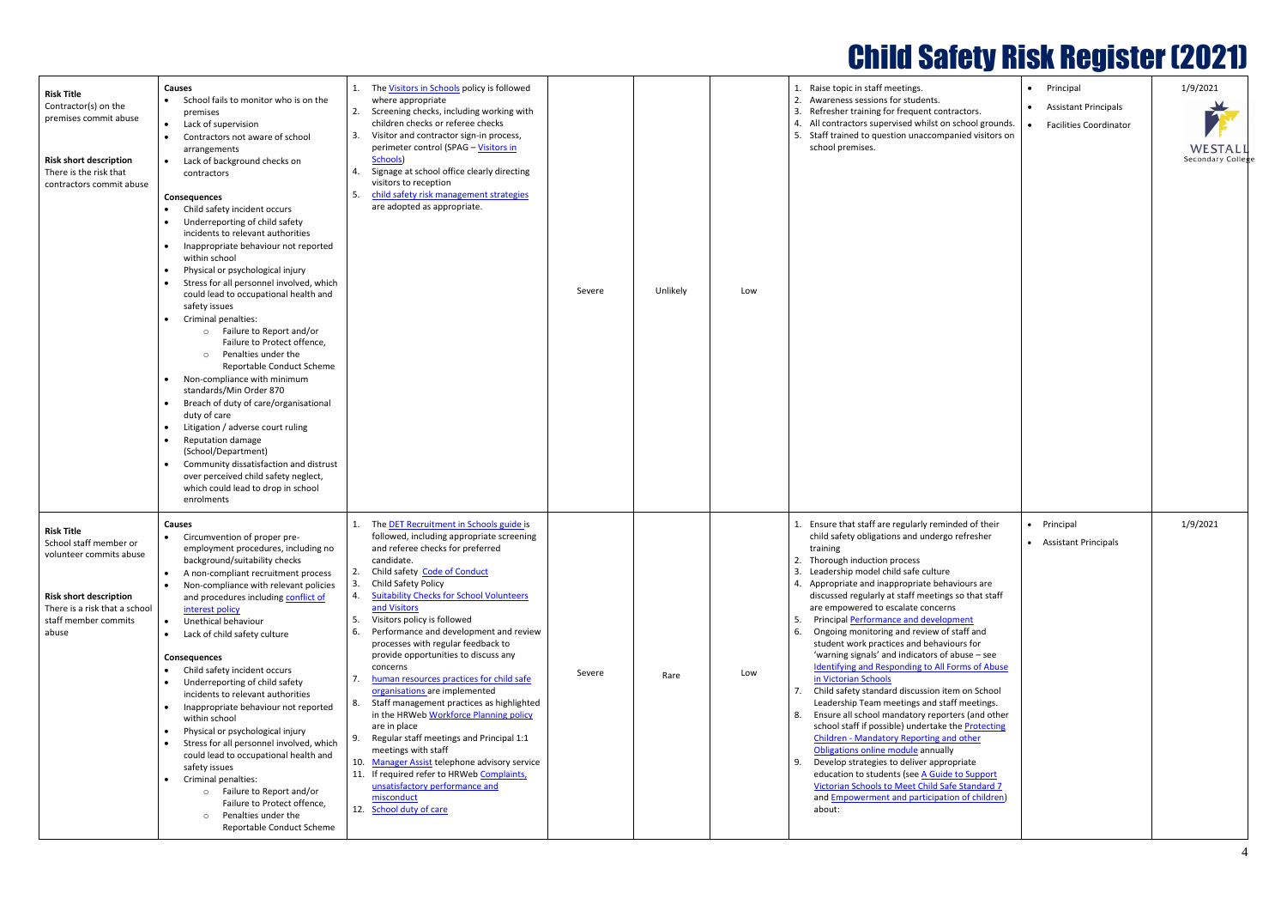

|                                                                                                                                                                           |                                                                                                                                                                                                                                                                                                                                                                                                                                                                                                                                                                                                                                                                                                                                                                                                                                                                                                                                                                                                                                    |                                                                                                                                                                                                                                                                                                                                                                                                                                                                                                                                                                                                                                                                                                                                                                                                                                                                                                    |        |          |                                                                                                      | <b>Child Safety Risk Register (2021)</b>                                                                                                                                                                                                                                                                                                                                                                                                                                                                                                                                                                                                                                                                                                                                                                                                                                                                                                                                                                                                                 |                                                                             |                                                |
|---------------------------------------------------------------------------------------------------------------------------------------------------------------------------|------------------------------------------------------------------------------------------------------------------------------------------------------------------------------------------------------------------------------------------------------------------------------------------------------------------------------------------------------------------------------------------------------------------------------------------------------------------------------------------------------------------------------------------------------------------------------------------------------------------------------------------------------------------------------------------------------------------------------------------------------------------------------------------------------------------------------------------------------------------------------------------------------------------------------------------------------------------------------------------------------------------------------------|----------------------------------------------------------------------------------------------------------------------------------------------------------------------------------------------------------------------------------------------------------------------------------------------------------------------------------------------------------------------------------------------------------------------------------------------------------------------------------------------------------------------------------------------------------------------------------------------------------------------------------------------------------------------------------------------------------------------------------------------------------------------------------------------------------------------------------------------------------------------------------------------------|--------|----------|------------------------------------------------------------------------------------------------------|----------------------------------------------------------------------------------------------------------------------------------------------------------------------------------------------------------------------------------------------------------------------------------------------------------------------------------------------------------------------------------------------------------------------------------------------------------------------------------------------------------------------------------------------------------------------------------------------------------------------------------------------------------------------------------------------------------------------------------------------------------------------------------------------------------------------------------------------------------------------------------------------------------------------------------------------------------------------------------------------------------------------------------------------------------|-----------------------------------------------------------------------------|------------------------------------------------|
| <b>Risk Title</b><br>Contractor(s) on the<br>premises commit abuse<br><b>Risk short description</b><br>There is the risk that<br>contractors commit abuse                 | <b>Causes</b><br>School fails to monitor who is on the<br>premises<br>Lack of supervision<br>Contractors not aware of school<br>arrangements<br>Lack of background checks on<br>contractors<br><b>Consequences</b><br>Child safety incident occurs<br>Underreporting of child safety<br>incidents to relevant authorities<br>Inappropriate behaviour not reported<br>within school<br>Physical or psychological injury<br>Stress for all personnel involved, which<br>could lead to occupational health and<br>safety issues<br>Criminal penalties:<br>Failure to Report and/or<br>$\circ$<br>Failure to Protect offence.<br>Penalties under the<br>$\circ$<br>Reportable Conduct Scheme<br>Non-compliance with minimum<br>standards/Min Order 870<br>Breach of duty of care/organisational<br>duty of care<br>Litigation / adverse court ruling<br>Reputation damage<br>(School/Department)<br>Community dissatisfaction and distrust<br>over perceived child safety neglect,<br>which could lead to drop in school<br>enrolments | The Visitors in Schools policy is followed<br>where appropriate<br>Screening checks, including working with<br>2.<br>children checks or referee checks<br>Visitor and contractor sign-in process,<br>3.<br>perimeter control (SPAG - Visitors in<br>Schools)<br>Signage at school office clearly directing<br>visitors to reception<br>child safety risk management strategies<br>5.<br>are adopted as appropriate.                                                                                                                                                                                                                                                                                                                                                                                                                                                                                | Severe | Unlikely | 1. Raise topic in staff meetings.<br>school premises.<br>Low                                         | 2. Awareness sessions for students.<br>3. Refresher training for frequent contractors.<br>4. All contractors supervised whilst on school grounds.<br>5. Staff trained to question unaccompanied visitors on                                                                                                                                                                                                                                                                                                                                                                                                                                                                                                                                                                                                                                                                                                                                                                                                                                              | • Principal<br><b>Assistant Principals</b><br><b>Facilities Coordinator</b> | 1/9/2021<br>WESTALI<br><b>Secondary Colleg</b> |
| <b>Risk Title</b><br>School staff member or<br>volunteer commits abuse<br><b>Risk short description</b><br>There is a risk that a school<br>staff member commits<br>abuse | <b>Causes</b><br>Circumvention of proper pre-<br>employment procedures, including no<br>background/suitability checks<br>A non-compliant recruitment process<br>Non-compliance with relevant policies<br>and procedures including conflict of<br>interest policy<br>Unethical behaviour<br>Lack of child safety culture<br><b>Consequences</b><br>Child safety incident occurs<br>Underreporting of child safety<br>incidents to relevant authorities<br>Inappropriate behaviour not reported<br>within school<br>Physical or psychological injury<br>Stress for all personnel involved, which<br>could lead to occupational health and<br>safety issues<br>Criminal penalties:<br>Failure to Report and/or<br>$\circ$<br>Failure to Protect offence,<br>Penalties under the<br>$\circ$<br>Reportable Conduct Scheme                                                                                                                                                                                                               | The DET Recruitment in Schools guide is<br>followed, including appropriate screening<br>and referee checks for preferred<br>candidate.<br>Child safety Code of Conduct<br>Child Safety Policy<br>3.<br><b>Suitability Checks for School Volunteers</b><br>4.<br>and Visitors<br>Visitors policy is followed<br>5.<br>Performance and development and review<br>6.<br>processes with regular feedback to<br>provide opportunities to discuss any<br>concerns<br>human resources practices for child safe<br>organisations are implemented<br>Staff management practices as highlighted<br>8.<br>in the HRWeb Workforce Planning policy<br>are in place<br>Regular staff meetings and Principal 1:1<br>meetings with staff<br>10. Manager Assist telephone advisory service<br>11. If required refer to HRWeb Complaints,<br>unsatisfactory performance and<br>misconduct<br>12. School duty of care | Severe | Rare     | training<br>2. Thorough induction process<br>6.<br>Low<br>in Victorian Schools<br>8.<br>9.<br>about: | Ensure that staff are regularly reminded of their<br>child safety obligations and undergo refresher<br>3. Leadership model child safe culture<br>4. Appropriate and inappropriate behaviours are<br>discussed regularly at staff meetings so that staff<br>are empowered to escalate concerns<br>Principal Performance and development<br>Ongoing monitoring and review of staff and<br>student work practices and behaviours for<br>'warning signals' and indicators of abuse - see<br><b>Identifying and Responding to All Forms of Abuse</b><br>Child safety standard discussion item on School<br>Leadership Team meetings and staff meetings.<br>Ensure all school mandatory reporters (and other<br>school staff if possible) undertake the Protecting<br>Children - Mandatory Reporting and other<br>Obligations online module annually<br>Develop strategies to deliver appropriate<br>education to students (see A Guide to Support<br>Victorian Schools to Meet Child Safe Standard 7<br>and <b>Empowerment</b> and participation of children) | Principal<br>• Assistant Principals                                         | 1/9/2021                                       |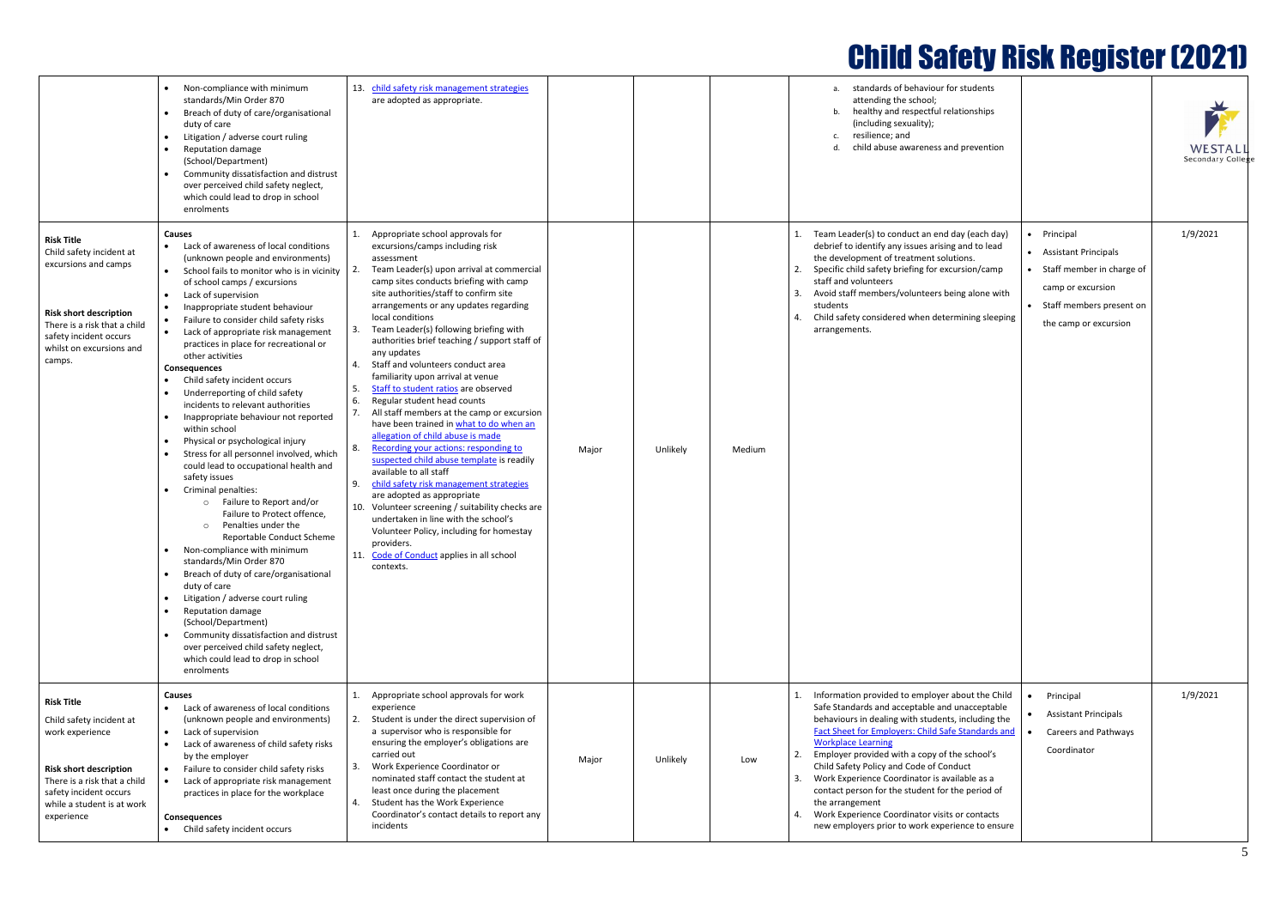|                                                                                                                                                                                                         | Non-compliance with minimum<br>standards/Min Order 870<br>Breach of duty of care/organisational<br>duty of care<br>Litigation / adverse court ruling<br>Reputation damage<br>(School/Department)<br>Community dissatisfaction and distrust<br>over perceived child safety neglect,<br>which could lead to drop in school<br>enrolments                                                                                                                                                                                                                                                                                                                                                                                                                                                                                                                                                                                                                                                                                                                                                                                                                                                                                                                  | child safety risk management strategies<br>are adopted as appropriate.                                                                                                                                                                                                                                                                                                                                                                                                                                                                                                                                                                                                                                                                                                                                                                                                                                                                                                                                                                                                                                                         |       |          |        | standards of behaviour for students<br>attending the school;<br>b. healthy and respectful relationships<br>(including sexuality);<br>resilience: and<br>c.<br>child abuse awareness and prevention                                                                                                                                                                                                                                                                                                                                                                                 |                                                                                                                                              | WESTALI<br>Secondary Colleg |
|---------------------------------------------------------------------------------------------------------------------------------------------------------------------------------------------------------|---------------------------------------------------------------------------------------------------------------------------------------------------------------------------------------------------------------------------------------------------------------------------------------------------------------------------------------------------------------------------------------------------------------------------------------------------------------------------------------------------------------------------------------------------------------------------------------------------------------------------------------------------------------------------------------------------------------------------------------------------------------------------------------------------------------------------------------------------------------------------------------------------------------------------------------------------------------------------------------------------------------------------------------------------------------------------------------------------------------------------------------------------------------------------------------------------------------------------------------------------------|--------------------------------------------------------------------------------------------------------------------------------------------------------------------------------------------------------------------------------------------------------------------------------------------------------------------------------------------------------------------------------------------------------------------------------------------------------------------------------------------------------------------------------------------------------------------------------------------------------------------------------------------------------------------------------------------------------------------------------------------------------------------------------------------------------------------------------------------------------------------------------------------------------------------------------------------------------------------------------------------------------------------------------------------------------------------------------------------------------------------------------|-------|----------|--------|------------------------------------------------------------------------------------------------------------------------------------------------------------------------------------------------------------------------------------------------------------------------------------------------------------------------------------------------------------------------------------------------------------------------------------------------------------------------------------------------------------------------------------------------------------------------------------|----------------------------------------------------------------------------------------------------------------------------------------------|-----------------------------|
| <b>Risk Title</b><br>Child safety incident at<br>excursions and camps<br><b>Risk short description</b><br>There is a risk that a child<br>safety incident occurs<br>whilst on excursions and<br>camps.  | <b>Causes</b><br>Lack of awareness of local conditions<br>$\bullet$<br>(unknown people and environments)<br>School fails to monitor who is in vicinity<br>$\bullet$<br>of school camps / excursions<br>Lack of supervision<br>Inappropriate student behaviour<br>Failure to consider child safety risks<br>Lack of appropriate risk management<br>$\bullet$<br>practices in place for recreational or<br>other activities<br><b>Consequences</b><br>Child safety incident occurs<br>Underreporting of child safety<br>incidents to relevant authorities<br>Inappropriate behaviour not reported<br>within school<br>Physical or psychological injury<br>Stress for all personnel involved, which<br>could lead to occupational health and<br>safety issues<br>Criminal penalties:<br>o Failure to Report and/or<br>Failure to Protect offence.<br>Penalties under the<br>$\circ$<br>Reportable Conduct Scheme<br>Non-compliance with minimum<br>standards/Min Order 870<br>Breach of duty of care/organisational<br>duty of care<br>Litigation / adverse court ruling<br>Reputation damage<br>(School/Department)<br>Community dissatisfaction and distrust<br>over perceived child safety neglect,<br>which could lead to drop in school<br>enrolments | Appropriate school approvals for<br>excursions/camps including risk<br>assessment<br>Team Leader(s) upon arrival at commercial<br>camp sites conducts briefing with camp<br>site authorities/staff to confirm site<br>arrangements or any updates regarding<br>local conditions<br>Team Leader(s) following briefing with<br>-3.<br>authorities brief teaching / support staff of<br>any updates<br>Staff and volunteers conduct area<br>4.<br>familiarity upon arrival at venue<br>-5.<br>Staff to student ratios are observed<br>6.<br>Regular student head counts<br>7.<br>All staff members at the camp or excursion<br>have been trained in what to do when an<br>allegation of child abuse is made<br>Recording your actions: responding to<br>-8.<br>suspected child abuse template is readily<br>available to all staff<br>child safety risk management strategies<br>9.<br>are adopted as appropriate<br>10. Volunteer screening / suitability checks are<br>undertaken in line with the school's<br>Volunteer Policy, including for homestay<br>providers.<br>11. Code of Conduct applies in all school<br>contexts. | Major | Unlikely | Medium | Team Leader(s) to conduct an end day (each day)<br>debrief to identify any issues arising and to lead<br>the development of treatment solutions.<br>Specific child safety briefing for excursion/camp<br>2.<br>staff and volunteers<br>Avoid staff members/volunteers being alone with<br>3<br>students<br>Child safety considered when determining sleeping<br>arrangements.                                                                                                                                                                                                      | Principal<br>• Assistant Principals<br>Staff member in charge of<br>camp or excursion<br>• Staff members present on<br>the camp or excursion | 1/9/2021                    |
| <b>Risk Title</b><br>Child safety incident at<br>work experience<br><b>Risk short description</b><br>There is a risk that a child<br>safety incident occurs<br>while a student is at work<br>experience | <b>Causes</b><br>Lack of awareness of local conditions<br>$\bullet$<br>(unknown people and environments)<br>Lack of supervision<br>$\bullet$<br>Lack of awareness of child safety risks<br>by the employer<br>Failure to consider child safety risks<br>Lack of appropriate risk management<br>practices in place for the workplace<br><b>Consequences</b><br>• Child safety incident occurs                                                                                                                                                                                                                                                                                                                                                                                                                                                                                                                                                                                                                                                                                                                                                                                                                                                            | Appropriate school approvals for work<br>experience<br>Student is under the direct supervision of<br>2.<br>a supervisor who is responsible for<br>ensuring the employer's obligations are<br>carried out<br>Work Experience Coordinator or<br>3.<br>nominated staff contact the student at<br>least once during the placement<br>Student has the Work Experience<br>4.<br>Coordinator's contact details to report any<br>incidents                                                                                                                                                                                                                                                                                                                                                                                                                                                                                                                                                                                                                                                                                             | Major | Unlikely | Low    | Information provided to employer about the Child<br>Safe Standards and acceptable and unacceptable<br>behaviours in dealing with students, including the<br><b>Fact Sheet for Employers: Child Safe Standards and</b><br><b>Workplace Learning</b><br>Employer provided with a copy of the school's<br>Child Safety Policy and Code of Conduct<br>Work Experience Coordinator is available as a<br>contact person for the student for the period of<br>the arrangement<br>Work Experience Coordinator visits or contacts<br>4.<br>new employers prior to work experience to ensure | Principal<br><b>Assistant Principals</b><br>Careers and Pathways<br>Coordinator                                                              | 1/9/2021                    |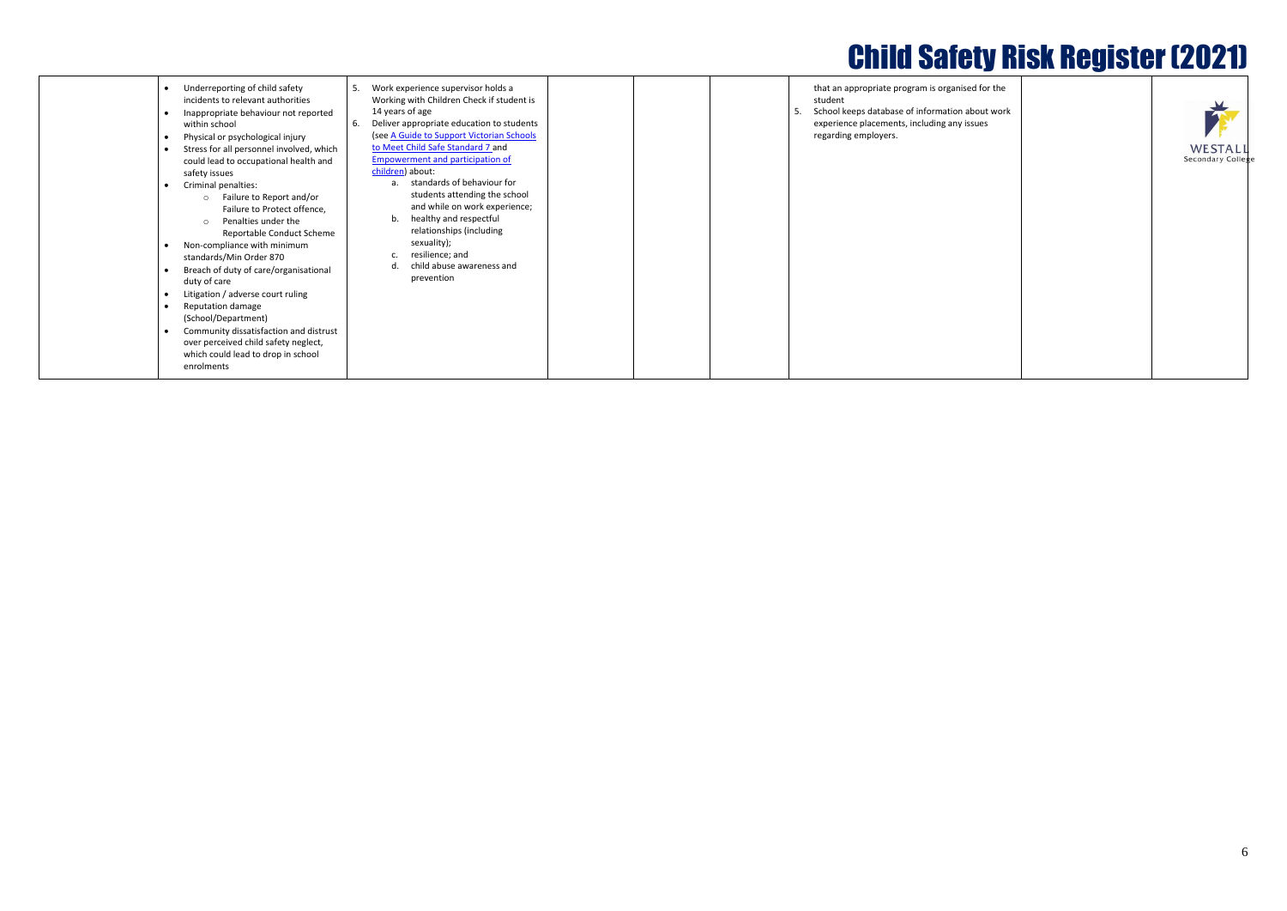ised for the

about work  $\epsilon$  issues



|  | $\mathbf{r}$                 |
|--|------------------------------|
|  | <b>WESTA</b><br>Secondary Co |
|  |                              |
|  |                              |
|  |                              |
|  |                              |
|  |                              |
|  |                              |
|  |                              |
|  |                              |
|  |                              |

|  | Underreporting of child safety<br>incidents to relevant authorities<br>Inappropriate behaviour not reported<br>within school<br>Physical or psychological injury<br>Stress for all personnel involved, which<br>could lead to occupational health and<br>safety issues<br>Criminal penalties:<br>Failure to Report and/or<br>$\circ$<br>Failure to Protect offence,<br>Penalties under the<br>$\bigcap$<br>Reportable Conduct Scheme<br>Non-compliance with minimum<br>standards/Min Order 870<br>Breach of duty of care/organisational<br>duty of care<br>Litigation / adverse court ruling<br>Reputation damage<br>(School/Department)<br>Community dissatisfaction and distrust<br>over perceived child safety neglect,<br>which could lead to drop in school<br>enrolments | Work experience supervisor holds a<br>-5.<br>Working with Children Check if student is<br>14 years of age<br>-6.<br>Deliver appropriate education to students<br>(see A Guide to Support Victorian Schools<br>to Meet Child Safe Standard 7 and<br>Empowerment and participation of<br>children) about:<br>standards of behaviour for<br>a.<br>students attending the school<br>and while on work experience;<br>healthy and respectful<br>b.<br>relationships (including<br>sexuality);<br>resilience; and<br>child abuse awareness and<br>d<br>prevention | that an appropriate program is organi<br>student<br>School keeps database of information<br>experience placements, including any<br>regarding employers. |
|--|--------------------------------------------------------------------------------------------------------------------------------------------------------------------------------------------------------------------------------------------------------------------------------------------------------------------------------------------------------------------------------------------------------------------------------------------------------------------------------------------------------------------------------------------------------------------------------------------------------------------------------------------------------------------------------------------------------------------------------------------------------------------------------|-------------------------------------------------------------------------------------------------------------------------------------------------------------------------------------------------------------------------------------------------------------------------------------------------------------------------------------------------------------------------------------------------------------------------------------------------------------------------------------------------------------------------------------------------------------|----------------------------------------------------------------------------------------------------------------------------------------------------------|
|--|--------------------------------------------------------------------------------------------------------------------------------------------------------------------------------------------------------------------------------------------------------------------------------------------------------------------------------------------------------------------------------------------------------------------------------------------------------------------------------------------------------------------------------------------------------------------------------------------------------------------------------------------------------------------------------------------------------------------------------------------------------------------------------|-------------------------------------------------------------------------------------------------------------------------------------------------------------------------------------------------------------------------------------------------------------------------------------------------------------------------------------------------------------------------------------------------------------------------------------------------------------------------------------------------------------------------------------------------------------|----------------------------------------------------------------------------------------------------------------------------------------------------------|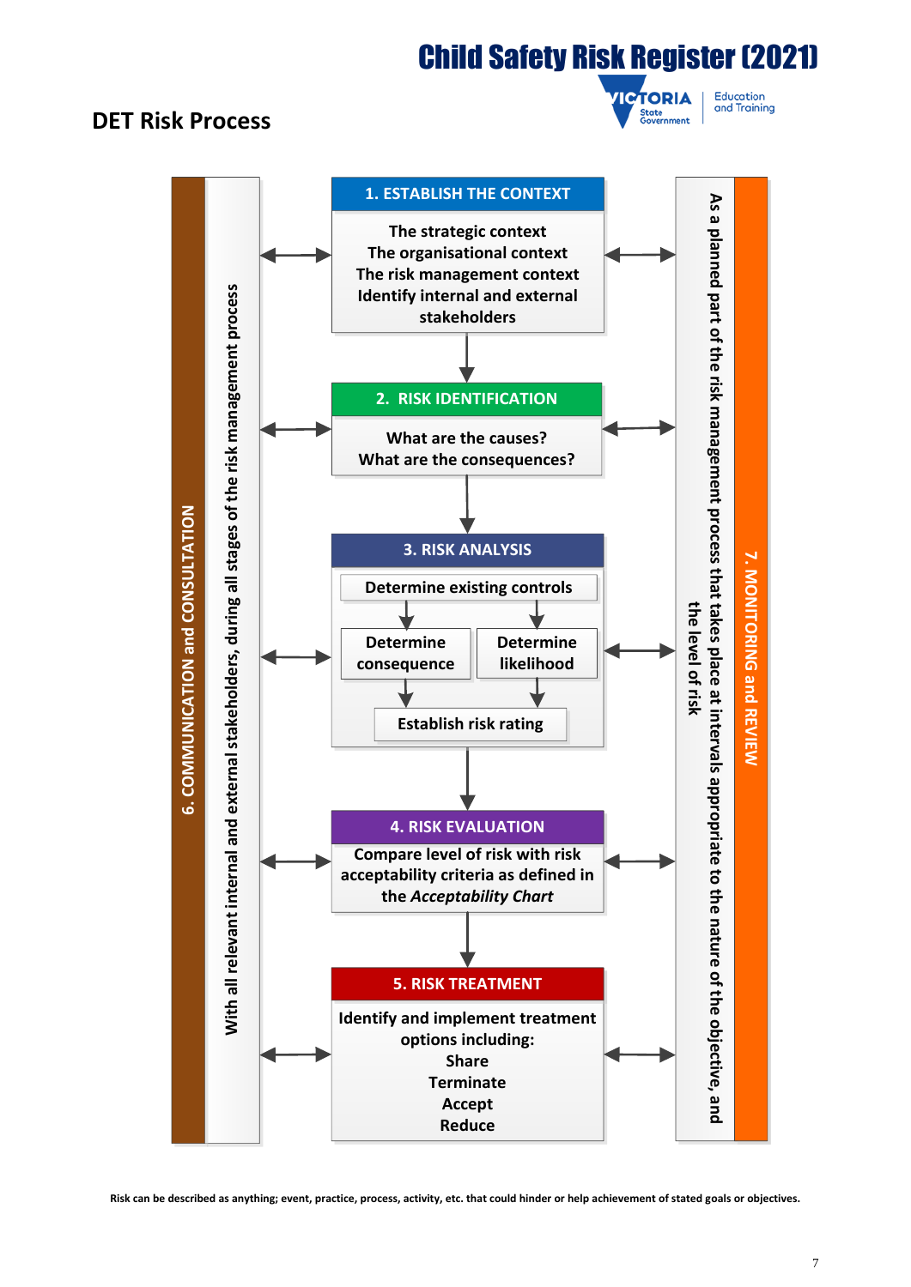## **DET Risk Process**



Education and Training

**Risk can be described as anything; event, practice, process, activity, etc. that could hinder or help achievement of stated goals or objectives.**

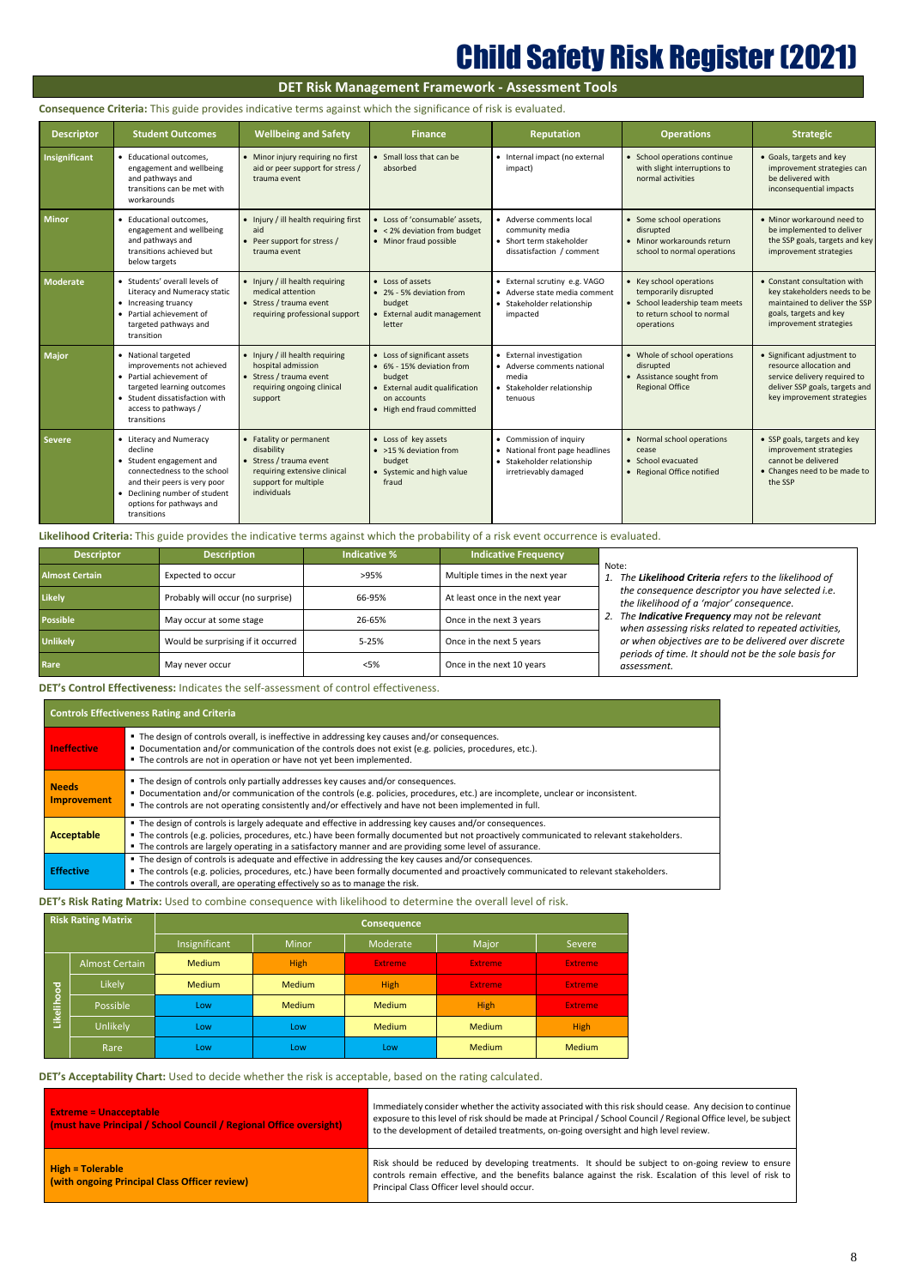8

## **DET Risk Management Framework - Assessment Tools**

## **Consequence Criteria:** This guide provides indicative terms against which the significance of risk is evaluated.

| <b>Descriptor</b>    | <b>Student Outcomes</b>                                                                                                                                                                                   | <b>Wellbeing and Safety</b>                                                                                                           | <b>Finance</b>                                                                                                                                     | <b>Reputation</b>                                                                                                 | <b>Operations</b>                                                                                                              | <b>Strategic</b>                                                                                                                                       |
|----------------------|-----------------------------------------------------------------------------------------------------------------------------------------------------------------------------------------------------------|---------------------------------------------------------------------------------------------------------------------------------------|----------------------------------------------------------------------------------------------------------------------------------------------------|-------------------------------------------------------------------------------------------------------------------|--------------------------------------------------------------------------------------------------------------------------------|--------------------------------------------------------------------------------------------------------------------------------------------------------|
| <b>Insignificant</b> | • Educational outcomes,<br>engagement and wellbeing<br>and pathways and<br>transitions can be met with<br>workarounds                                                                                     | • Minor injury requiring no first<br>aid or peer support for stress /<br>trauma event                                                 | • Small loss that can be<br>absorbed                                                                                                               | • Internal impact (no external<br>impact)                                                                         | • School operations continue<br>with slight interruptions to<br>normal activities                                              | • Goals, targets and key<br>improvement strategies can<br>be delivered with<br>inconsequential impacts                                                 |
| <b>Minor</b>         | • Educational outcomes,<br>engagement and wellbeing<br>and pathways and<br>transitions achieved but<br>below targets                                                                                      | • Injury / ill health requiring first<br>aid<br>Peer support for stress /<br>trauma event                                             | • Loss of 'consumable' assets,<br>• < 2% deviation from budget<br>• Minor fraud possible                                                           | • Adverse comments local<br>community media<br>• Short term stakeholder<br>dissatisfaction / comment              | • Some school operations<br>disrupted<br>• Minor workarounds return<br>school to normal operations                             | • Minor workaround need to<br>be implemented to deliver<br>the SSP goals, targets and key<br>improvement strategies                                    |
| <b>Moderate</b>      | • Students' overall levels of<br>Literacy and Numeracy static<br>• Increasing truancy<br>• Partial achievement of<br>targeted pathways and<br>transition                                                  | • Injury / ill health requiring<br>medical attention<br>• Stress / trauma event<br>requiring professional support                     | • Loss of assets<br>• 2% - 5% deviation from<br>budget<br>External audit management<br>letter                                                      | • External scrutiny e.g. VAGO<br>• Adverse state media comment<br>• Stakeholder relationship<br>impacted          | • Key school operations<br>temporarily disrupted<br>• School leadership team meets<br>to return school to normal<br>operations | • Constant consultation with<br>key stakeholders needs to be<br>maintained to deliver the SSP<br>goals, targets and key<br>improvement strategies      |
| <b>Major</b>         | • National targeted<br>improvements not achieved<br>• Partial achievement of<br>targeted learning outcomes<br>• Student dissatisfaction with<br>access to pathways /<br>transitions                       | • Injury / ill health requiring<br>hospital admission<br>• Stress / trauma event<br>requiring ongoing clinical<br>support             | • Loss of significant assets<br>• 6% - 15% deviation from<br>budget<br>• External audit qualification<br>on accounts<br>• High end fraud committed | • External investigation<br>• Adverse comments national<br>media<br>• Stakeholder relationship<br>tenuous         | • Whole of school operations<br>disrupted<br>• Assistance sought from<br><b>Regional Office</b>                                | • Significant adjustment to<br>resource allocation and<br>service delivery required to<br>deliver SSP goals, targets and<br>key improvement strategies |
| <b>Severe</b>        | • Literacy and Numeracy<br>decline<br>• Student engagement and<br>connectedness to the school<br>and their peers is very poor<br>• Declining number of student<br>options for pathways and<br>transitions | Fatality or permanent<br>disability<br>• Stress / trauma event<br>requiring extensive clinical<br>support for multiple<br>individuals | • Loss of key assets<br>• >15 % deviation from<br>budget<br>• Systemic and high value<br>fraud                                                     | • Commission of inquiry<br>• National front page headlines<br>• Stakeholder relationship<br>irretrievably damaged | • Normal school operations<br>cease<br>• School evacuated<br>• Regional Office notified                                        | • SSP goals, targets and key<br>improvement strategies<br>cannot be delivered<br>• Changes need to be made to<br>the SSP                               |

**Likelihood Criteria:** This guide provides the indicative terms against which the probability of a risk event occurrence is evaluated.

## **DET's Control Effectiveness:** Indicates the self-assessment of control effectiveness.

## **Controls Effectiveness Rating and Criteria**

| Ineffective                        | • The design of controls overall, is ineffective in addressing key causes and/or consequences.<br>Documentation and/or communication of the controls does not exist (e.g. policies, procedures, etc.).<br>" The controls are not in operation or have not yet been implemented.                                                                                 |
|------------------------------------|-----------------------------------------------------------------------------------------------------------------------------------------------------------------------------------------------------------------------------------------------------------------------------------------------------------------------------------------------------------------|
| <b>Needs</b><br><b>Improvement</b> | • The design of controls only partially addresses key causes and/or consequences.<br>Documentation and/or communication of the controls (e.g. policies, procedures, etc.) are incomplete, unclear or inconsistent.<br>• The controls are not operating consistently and/or effectively and have not been implemented in full.                                   |
| Acceptable                         | " The design of controls is largely adequate and effective in addressing key causes and/or consequences.<br>The controls (e.g. policies, procedures, etc.) have been formally documented but not proactively communicated to relevant stakeholders.<br>• The controls are largely operating in a satisfactory manner and are providing some level of assurance. |
| <b>Effective</b>                   | • The design of controls is adequate and effective in addressing the key causes and/or consequences.<br>" The controls (e.g. policies, procedures, etc.) have been formally documented and proactively communicated to relevant stakeholders.<br>• The controls overall, are operating effectively so as to manage the risk.                                    |

**DET's Risk Rating Matrix:** Used to combine consequence with likelihood to determine the overall level of risk.

|            | <b>Risk Rating Matrix</b> | <b>Consequence</b> |               |                |                |                |  |  |  |
|------------|---------------------------|--------------------|---------------|----------------|----------------|----------------|--|--|--|
|            |                           | Insignificant      | <b>Minor</b>  | Moderate       | Major          | <b>Severe</b>  |  |  |  |
|            | <b>Almost Certain</b>     | <b>Medium</b>      | <b>High</b>   | <b>Extreme</b> | <b>Extreme</b> | <b>Extreme</b> |  |  |  |
|            | Likely                    | <b>Medium</b>      | <b>Medium</b> | High           | <b>Extreme</b> | <b>Extreme</b> |  |  |  |
| Likelihood | Possible                  | Low                | <b>Medium</b> | <b>Medium</b>  | <b>High</b>    | <b>Extreme</b> |  |  |  |
|            | Unlikely                  | Low                | Low           | <b>Medium</b>  | <b>Medium</b>  | <b>High</b>    |  |  |  |
|            | Rare                      | Low                | Low           | Low            | <b>Medium</b>  | <b>Medium</b>  |  |  |  |

## **DET's Acceptability Chart:** Used to decide whether the risk is acceptable, based on the rating calculated.

| <b>Extreme = Unacceptable</b><br>(must have Principal / School Council / Regional Office oversight) | Immediately consider whether the activity associated with this risk should cease. Any decision to continue<br>exposure to this level of risk should be made at Principal / School Council / Regional Office level, be subject<br>to the development of detailed treatments, on-going oversight and high level review. |
|-----------------------------------------------------------------------------------------------------|-----------------------------------------------------------------------------------------------------------------------------------------------------------------------------------------------------------------------------------------------------------------------------------------------------------------------|
| $High = Tolerable$<br>(with ongoing Principal Class Officer review)                                 | Risk should be reduced by developing treatments. It should be subject to on-going review to ensure<br>controls remain effective, and the benefits balance against the risk. Escalation of this level of risk to<br>Principal Class Officer level should occur.                                                        |

| <b>Descriptor</b>     | <b>Description</b>                 | Indicative % | <b>Indicative Frequency</b>     |                                                                                                                                                                                                                                                                                                                                                                                                             |
|-----------------------|------------------------------------|--------------|---------------------------------|-------------------------------------------------------------------------------------------------------------------------------------------------------------------------------------------------------------------------------------------------------------------------------------------------------------------------------------------------------------------------------------------------------------|
| <b>Almost Certain</b> | Expected to occur                  | >95%         | Multiple times in the next year | Note:<br>The Likelihood Criteria refers to the likelihood of<br>the consequence descriptor you have selected i.e.<br>the likelihood of a 'major' consequence.<br>The <b>Indicative Frequency</b> may not be relevant<br>when assessing risks related to repeated activities,<br>or when objectives are to be delivered over discrete<br>periods of time. It should not be the sole basis for<br>assessment. |
| <b>Likely</b>         | Probably will occur (no surprise)  | 66-95%       | At least once in the next year  |                                                                                                                                                                                                                                                                                                                                                                                                             |
| <b>Possible</b>       | May occur at some stage            | 26-65%       | Once in the next 3 years        |                                                                                                                                                                                                                                                                                                                                                                                                             |
| <b>Unlikely</b>       | Would be surprising if it occurred | 5-25%        | Once in the next 5 years        |                                                                                                                                                                                                                                                                                                                                                                                                             |
| Rare                  | May never occur                    | <5%          | Once in the next 10 years       |                                                                                                                                                                                                                                                                                                                                                                                                             |